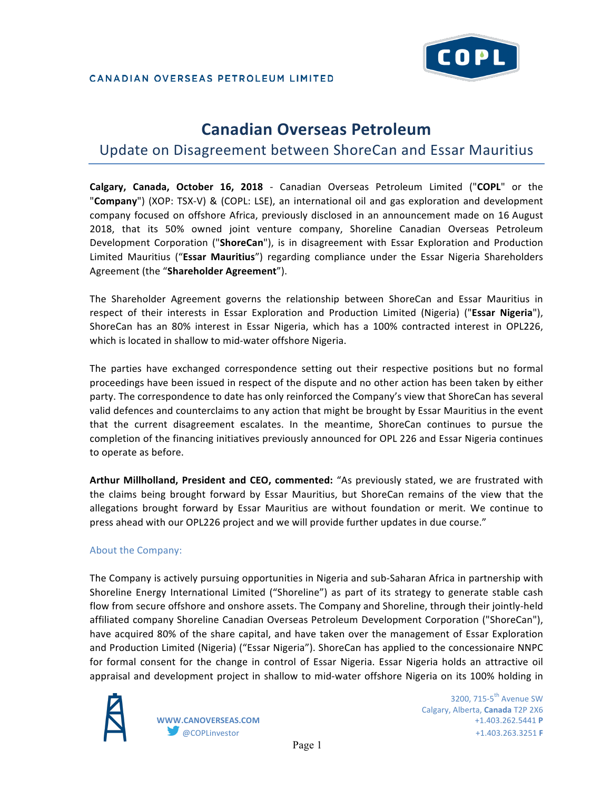

### CANADIAN OVERSEAS PETROLEUM LIMITED

# **Canadian Overseas Petroleum**

## Update on Disagreement between ShoreCan and Essar Mauritius

**Calgary, Canada, October 16, 2018** - Canadian Overseas Petroleum Limited ("COPL" or the "**Company**") (XOP: TSX-V) & (COPL: LSE), an international oil and gas exploration and development company focused on offshore Africa, previously disclosed in an announcement made on 16 August 2018, that its 50% owned joint venture company, Shoreline Canadian Overseas Petroleum Development Corporation ("ShoreCan"), is in disagreement with Essar Exploration and Production Limited Mauritius ("Essar Mauritius") regarding compliance under the Essar Nigeria Shareholders Agreement (the "**Shareholder Agreement**").

The Shareholder Agreement governs the relationship between ShoreCan and Essar Mauritius in respect of their interests in Essar Exploration and Production Limited (Nigeria) ("Essar Nigeria"), ShoreCan has an 80% interest in Essar Nigeria, which has a 100% contracted interest in OPL226, which is located in shallow to mid-water offshore Nigeria.

The parties have exchanged correspondence setting out their respective positions but no formal proceedings have been issued in respect of the dispute and no other action has been taken by either party. The correspondence to date has only reinforced the Company's view that ShoreCan has several valid defences and counterclaims to any action that might be brought by Essar Mauritius in the event that the current disagreement escalates. In the meantime, ShoreCan continues to pursue the completion of the financing initiatives previously announced for OPL 226 and Essar Nigeria continues to operate as before.

Arthur Millholland, President and CEO, commented: "As previously stated, we are frustrated with the claims being brought forward by Essar Mauritius, but ShoreCan remains of the view that the allegations brought forward by Essar Mauritius are without foundation or merit. We continue to press ahead with our OPL226 project and we will provide further updates in due course."

### About the Company:

The Company is actively pursuing opportunities in Nigeria and sub-Saharan Africa in partnership with Shoreline Energy International Limited ("Shoreline") as part of its strategy to generate stable cash flow from secure offshore and onshore assets. The Company and Shoreline, through their jointly-held affiliated company Shoreline Canadian Overseas Petroleum Development Corporation ("ShoreCan"), have acquired 80% of the share capital, and have taken over the management of Essar Exploration and Production Limited (Nigeria) ("Essar Nigeria"). ShoreCan has applied to the concessionaire NNPC for formal consent for the change in control of Essar Nigeria. Essar Nigeria holds an attractive oil appraisal and development project in shallow to mid-water offshore Nigeria on its 100% holding in



3200, 715-5<sup>th</sup> Avenue SW Calgary, Alberta, **Canada** T2P 2X6 **WWW.CANOVERSEAS.COM** +1.403.262.5441 **P** @COPLinvestor +1.403.263.3251 **F**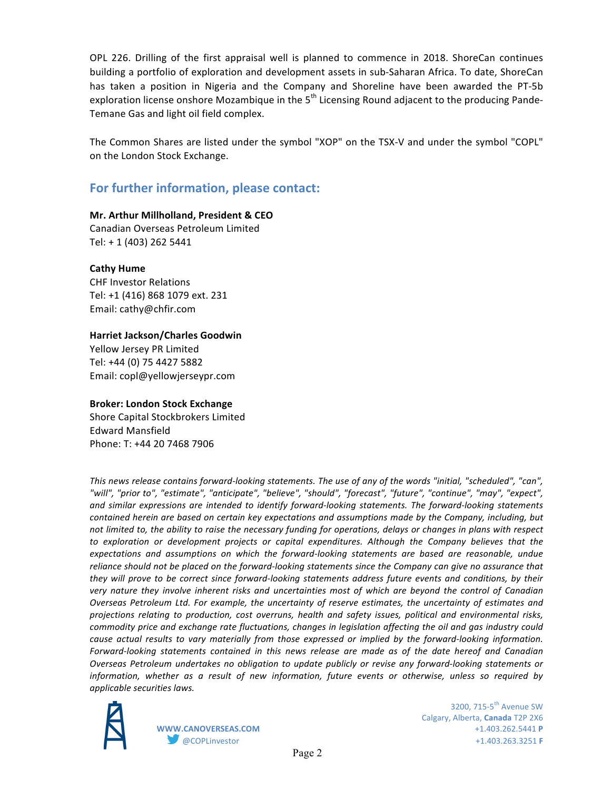OPL 226. Drilling of the first appraisal well is planned to commence in 2018. ShoreCan continues building a portfolio of exploration and development assets in sub-Saharan Africa. To date, ShoreCan has taken a position in Nigeria and the Company and Shoreline have been awarded the PT-5b exploration license onshore Mozambique in the  $5<sup>th</sup>$  Licensing Round adjacent to the producing Pande-Temane Gas and light oil field complex.

The Common Shares are listed under the symbol "XOP" on the TSX-V and under the symbol "COPL" on the London Stock Exchange.

### **For further information, please contact:**

### **Mr. Arthur Millholland, President & CEO**

Canadian Overseas Petroleum Limited Tel: + 1 (403) 262 5441

### **Cathy Hume**

CHF Investor Relations Tel: +1 (416) 868 1079 ext. 231 Email: cathy@chfir.com

#### **Harriet Jackson/Charles Goodwin**

Yellow Jersey PR Limited Tel: +44 (0) 75 4427 5882 Email: copl@yellowjerseypr.com

### **Broker: London Stock Exchange**

Shore Capital Stockbrokers Limited Edward Mansfield Phone: T: +44 20 7468 7906

This news release contains forward-looking statements. The use of any of the words "initial, "scheduled", "can", *"will", "prior to", "estimate", "anticipate", "believe", "should", "forecast", "future", "continue", "may", "expect",*  and similar expressions are intended to identify forward-looking statements. The forward-looking statements contained herein are based on certain key expectations and assumptions made by the Company, including, but not limited to, the ability to raise the necessary funding for operations, delays or changes in plans with respect to exploration or development projects or capital expenditures. Although the Company believes that the expectations and assumptions on which the forward-looking statements are based are reasonable, undue *reliance should not be placed on the forward-looking statements since the Company can give no assurance that* they will prove to be correct since forward-looking statements address future events and conditions, by their very nature they involve inherent risks and uncertainties most of which are beyond the control of Canadian *Overseas Petroleum Ltd. For example, the uncertainty of reserve estimates, the uncertainty of estimates and* projections relating to production, cost overruns, health and safety issues, political and environmental risks, *commodity* price and exchange rate fluctuations, changes in legislation affecting the oil and gas industry could cause actual results to vary materially from those expressed or implied by the forward-looking information. Forward-looking statements contained in this news release are made as of the date hereof and Canadian *Overseas Petroleum undertakes no obligation to update publicly or revise any forward-looking statements or information, whether as a result of new information, future events or otherwise, unless so required by applicable securities laws.* 



3200, 715-5<sup>th</sup> Avenue SW Calgary, Alberta, **Canada** T2P 2X6 **WWW.CANOVERSEAS.COM** +1.403.262.5441 **P** @COPLinvestor +1.403.263.3251 **F**